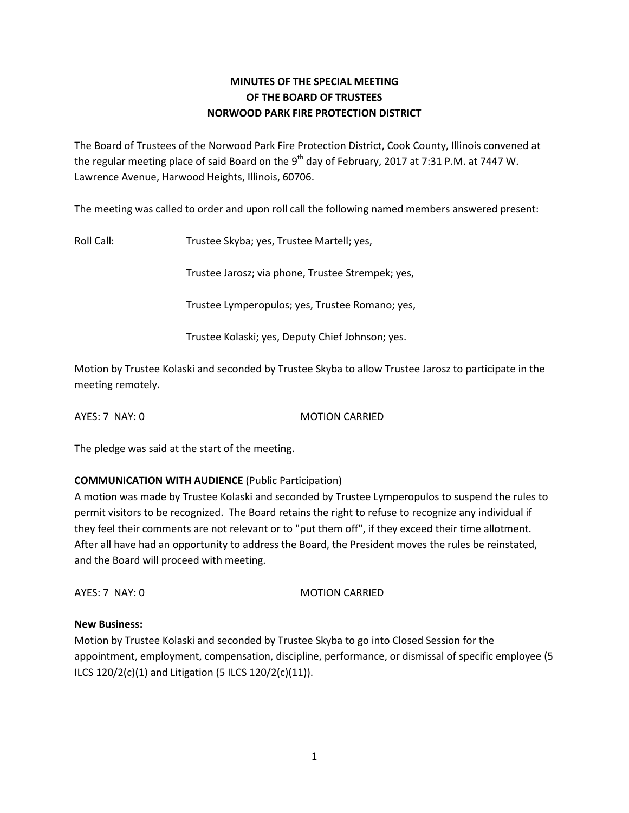## **MINUTES OF THE SPECIAL MEETING OF THE BOARD OF TRUSTEES NORWOOD PARK FIRE PROTECTION DISTRICT**

The Board of Trustees of the Norwood Park Fire Protection District, Cook County, Illinois convened at the regular meeting place of said Board on the 9<sup>th</sup> day of February, 2017 at 7:31 P.M. at 7447 W. Lawrence Avenue, Harwood Heights, Illinois, 60706.

The meeting was called to order and upon roll call the following named members answered present:

Roll Call: Trustee Skyba; yes, Trustee Martell; yes,

Trustee Jarosz; via phone, Trustee Strempek; yes,

Trustee Lymperopulos; yes, Trustee Romano; yes,

Trustee Kolaski; yes, Deputy Chief Johnson; yes.

Motion by Trustee Kolaski and seconded by Trustee Skyba to allow Trustee Jarosz to participate in the meeting remotely.

AYES: 7 NAY: 0 MOTION CARRIED

The pledge was said at the start of the meeting.

## **COMMUNICATION WITH AUDIENCE** (Public Participation)

A motion was made by Trustee Kolaski and seconded by Trustee Lymperopulos to suspend the rules to permit visitors to be recognized. The Board retains the right to refuse to recognize any individual if they feel their comments are not relevant or to "put them off", if they exceed their time allotment. After all have had an opportunity to address the Board, the President moves the rules be reinstated, and the Board will proceed with meeting.

AYES: 7 NAY: 0 MOTION CARRIED

## **New Business:**

Motion by Trustee Kolaski and seconded by Trustee Skyba to go into Closed Session for the appointment, employment, compensation, discipline, performance, or dismissal of specific employee (5 ILCS 120/2(c)(1) and Litigation (5 ILCS 120/2(c)(11)).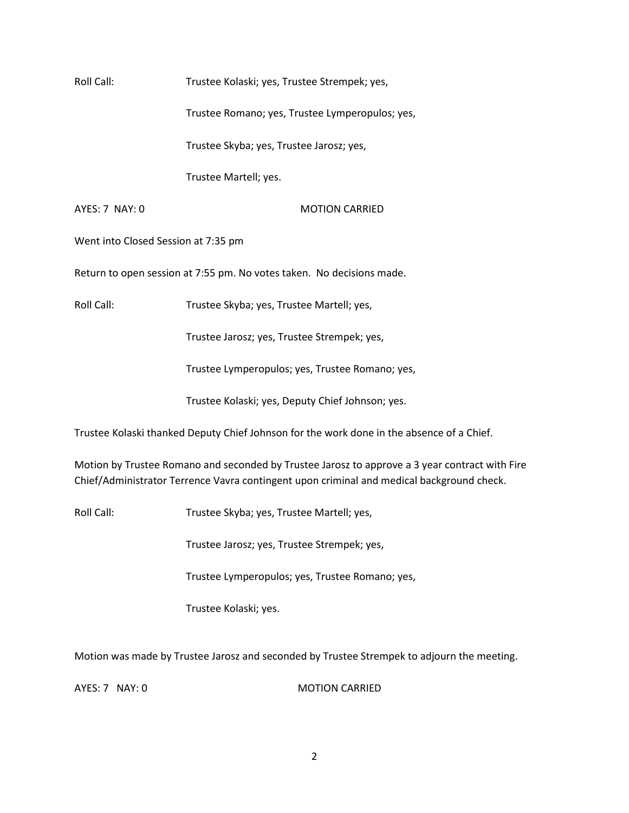Roll Call: Trustee Kolaski; yes, Trustee Strempek; yes,

Trustee Romano; yes, Trustee Lymperopulos; yes,

Trustee Skyba; yes, Trustee Jarosz; yes,

Trustee Martell; yes.

## AYES: 7 NAY: 0 MOTION CARRIED

Went into Closed Session at 7:35 pm

Return to open session at 7:55 pm. No votes taken. No decisions made.

Roll Call: Trustee Skyba; yes, Trustee Martell; yes,

Trustee Jarosz; yes, Trustee Strempek; yes,

Trustee Lymperopulos; yes, Trustee Romano; yes,

Trustee Kolaski; yes, Deputy Chief Johnson; yes.

Trustee Kolaski thanked Deputy Chief Johnson for the work done in the absence of a Chief.

Motion by Trustee Romano and seconded by Trustee Jarosz to approve a 3 year contract with Fire Chief/Administrator Terrence Vavra contingent upon criminal and medical background check.

Roll Call: Trustee Skyba; yes, Trustee Martell; yes,

Trustee Jarosz; yes, Trustee Strempek; yes,

Trustee Lymperopulos; yes, Trustee Romano; yes,

Trustee Kolaski; yes.

Motion was made by Trustee Jarosz and seconded by Trustee Strempek to adjourn the meeting.

AYES: 7 NAY: 0 MOTION CARRIED